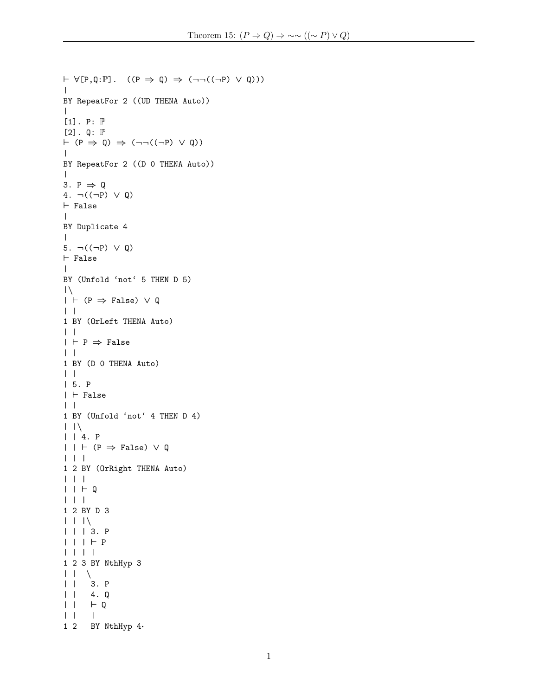```
\vdash \forall [P,Q:\mathbb{P}]. ((P \Rightarrow Q) \Rightarrow (\neg \neg ((\neg P) \lor Q)))\blacksquareBY RepeatFor 2 ((UD THENA Auto))
\blacksquare[1]. P: \mathbb P[2]. Q: \mathbb{P}\vdash (P \Rightarrow Q) \Rightarrow (¬¬((¬P) ∨ Q))
\blacksquareBY RepeatFor 2 ((D 0 THENA Auto))
\blacksquare3. P \Rightarrow Q4. ¬((¬P) ∨ Q)
\vdash False
\blacksquareBY Duplicate 4
\blacksquare5. \neg((\neg P) \lor Q)\vdash False
\blacksquareBY (Unfold 'not' 5 THEN D 5)
|\n\sqrt{\ }| \vdash (P \Rightarrow False) \lor Q| \cdot |1 BY (OrLeft THENA Auto)
| \cdot || \vdash P \Rightarrow False
| \ \ |1 BY (D 0 THENA Auto)
| \cdot || 5. P
| \vdash False
| |
1 BY (Unfold 'not' 4 THEN D 4)
| \ | \ \n\mathcal{N}| | 4. P
| \ | \ \vdash (P \Rightarrow False) \lor Q
| | |
1 2 BY (OrRight THENA Auto)
| | |
| | + Q| | |
1 2 BY D 3
| \ \ | \ \ | \ \ | \ \| | | 3. P
| | | + P| | | |
1 2 3 BY NthHyp 3
| | \
| | 3. P
| | 4. Q
| | | | \vdash Q
| | |
1 2 BY NthHyp 4·
```